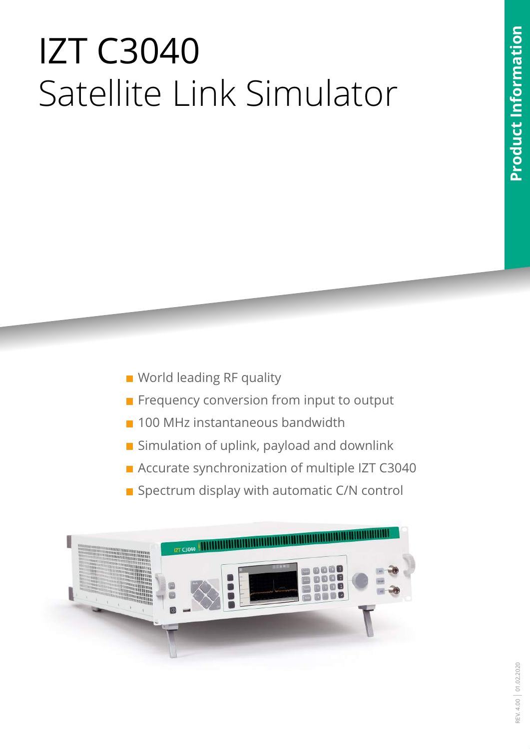# Product Information **Product Information**

# IZT C3040 Satellite Link Simulator

- **World leading RF quality**
- **Frequency conversion from input to output**
- **100 MHz instantaneous bandwidth**
- **Simulation of uplink, payload and downlink**
- **Accurate synchronization of multiple IZT C3040**
- Spectrum display with automatic C/N control

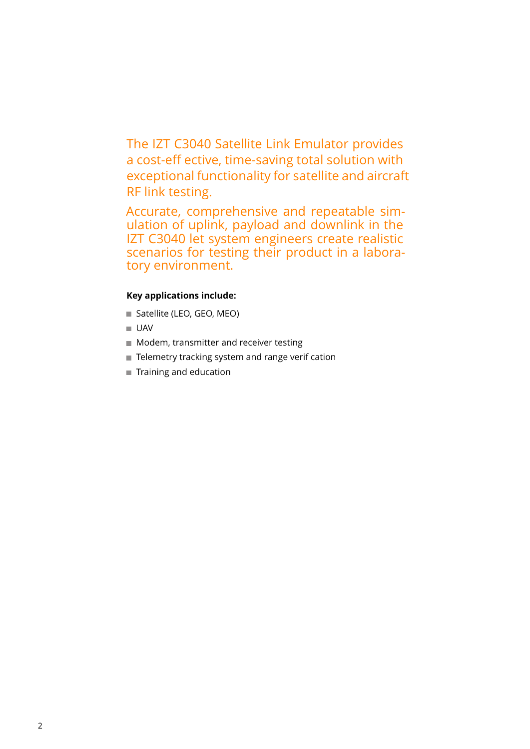The IZT C3040 Satellite Link Emulator provides a cost-eff ective, time-saving total solution with exceptional functionality for satellite and aircraft RF link testing.

Accurate, comprehensive and repeatable simulation of uplink, payload and downlink in the IZT C3040 let system engineers create realistic scenarios for testing their product in a laboratory environment.

#### **Key applications include:**

- Satellite (LEO, GEO, MEO)
- UAV
- **Modem, transmitter and receiver testing**
- Telemetry tracking system and range verif cation
- Training and education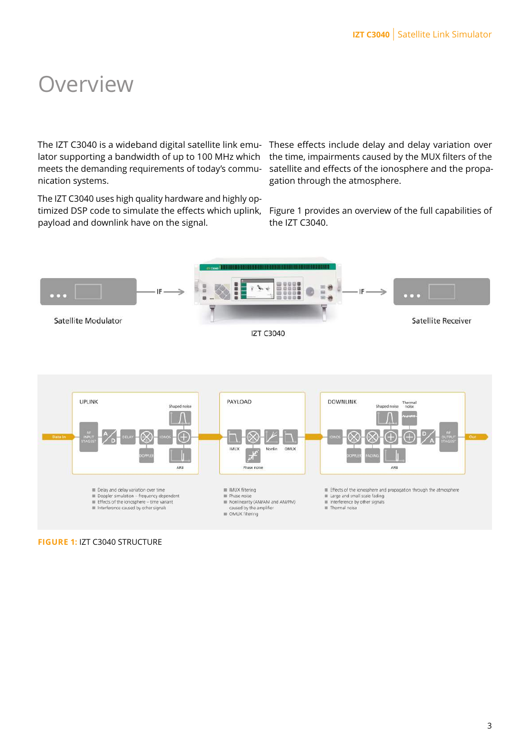### **Overview**

The IZT C3040 is a wideband digital satellite link emu- These effects include delay and delay variation over lator supporting a bandwidth of up to 100 MHz which meets the demanding requirements of today's communication systems.

The IZT C3040 uses high quality hardware and highly optimized DSP code to simulate the effects which uplink, payload and downlink have on the signal.

the time, impairments caused by the MUX filters of the satellite and effects of the ionosphere and the propagation through the atmosphere.

Figure [1](#page-2-0) provides an overview of the full capabilities of the IZT C3040.

<span id="page-2-0"></span>

**FIGURE 1:** IZT C3040 STRUCTURE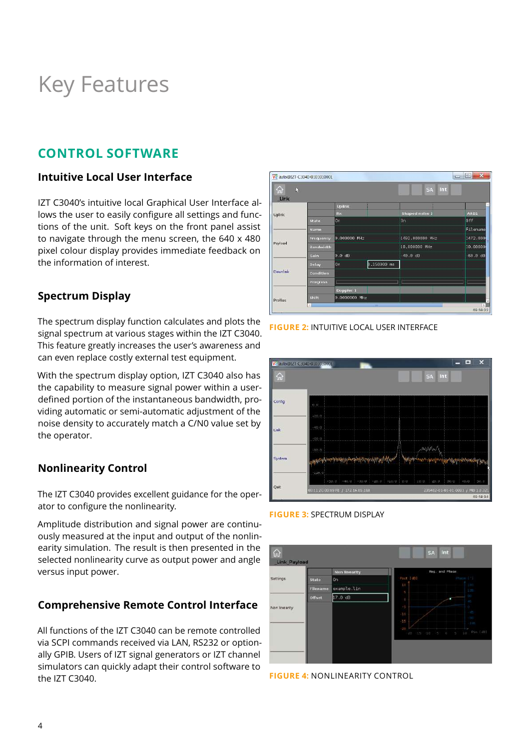## Key Features

#### **CONTROL SOFTWARE**

#### **Intuitive Local User Interface**

IZT C3040's intuitive local Graphical User Interface allows the user to easily configure all settings and functions of the unit. Soft keys on the front panel assist to navigate through the menu screen, the 640 x 480 pixel colour display provides immediate feedback on the information of interest.

#### **Spectrum Display**

The spectrum display function calculates and plots the signal spectrum at various stages within the IZT C3040. This feature greatly increases the user's awareness and can even replace costly external test equipment.

With the spectrum display option, IZT C3040 also has the capability to measure signal power within a userdefined portion of the instantaneous bandwidth, providing automatic or semi-automatic adjustment of the noise density to accurately match a C/N0 value set by the operator.

#### **Nonlinearity Control**

The IZT C3040 provides excellent guidance for the operator to configure the nonlinearity.

Amplitude distribution and signal power are continuously measured at the input and output of the nonlinearity simulation. The result is then presented in the selected nonlinearity curve as output power and angle versus input power.

#### **Comprehensive Remote Control Interface**

All functions of the IZT C3040 can be remote controlled via SCPI commands received via LAN, RS232 or optionally GPIB. Users of IZT signal generators or IZT channel simulators can quickly adapt their control software to the IZT C3040.



**FIGURE 2: INTUITIVE LOCAL USER INTERFACE** 



#### **FIGURE 3:** SPECTRUM DISPLAY



**FIGURE 4:** NONLINEARITY CONTROL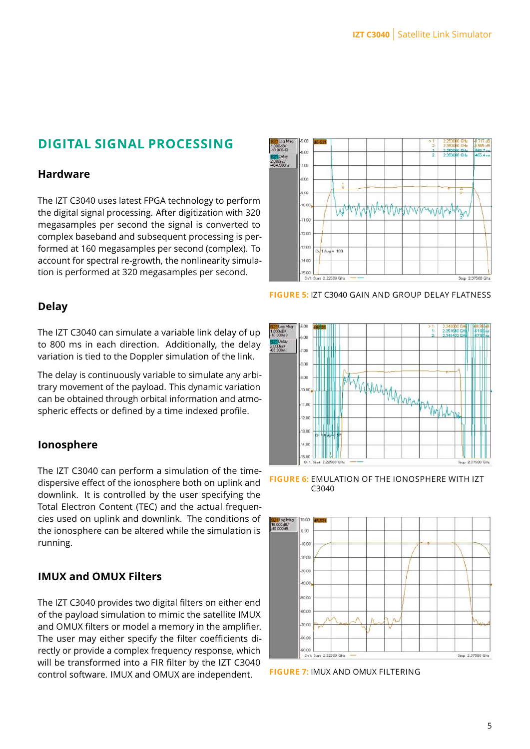#### **DIGITAL SIGNAL PROCESSING**

#### **Hardware**

The IZT C3040 uses latest FPGA technology to perform the digital signal processing. After digitization with 320 megasamples per second the signal is converted to complex baseband and subsequent processing is performed at 160 megasamples per second (complex). To account for spectral re-growth, the nonlinearity simulation is performed at 320 megasamples per second.



**FIGURE 5:** IZT C3040 GAIN AND GROUP DELAY FLATNESS

#### **Delay**

The IZT C3040 can simulate a variable link delay of up to 800 ms in each direction. Additionally, the delay variation is tied to the Doppler simulation of the link.

The delay is continuously variable to simulate any arbitrary movement of the payload. This dynamic variation can be obtained through orbital information and atmospheric effects or defined by a time indexed profile.

#### **Ionosphere**

The IZT C3040 can perform a simulation of the timedispersive effect of the ionosphere both on uplink and downlink. It is controlled by the user specifying the Total Electron Content (TEC) and the actual frequencies used on uplink and downlink. The conditions of the ionosphere can be altered while the simulation is running.

#### **IMUX and OMUX Filters**

The IZT C3040 provides two digital filters on either end of the payload simulation to mimic the satellite IMUX and OMUX filters or model a memory in the amplifier. The user may either specify the filter coefficients directly or provide a complex frequency response, which will be transformed into a FIR filter by the IZT C3040 control software. IMUX and OMUX are independent.



**FIGURE 6:** EMULATION OF THE IONOSPHERE WITH IZT C3040



**FIGURE 7:** IMUX AND OMUX FILTERING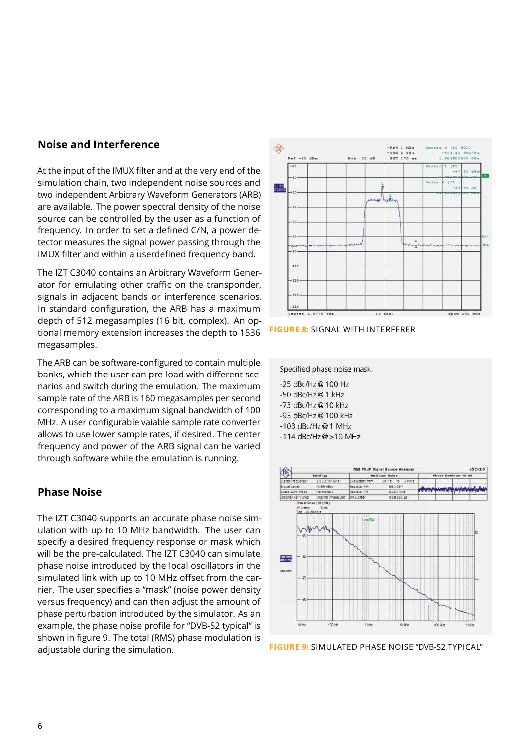#### **Noise and Interference**

At the input of the IMUX filter and at the very end of the simulation chain, two independent noise sources and two independent Arbitrary Waveform Generators (ARB) are available. The power spectral density of the noise source can be controlled by the user as a function of frequency. In order to set a defined C/N, a power detector measures the signal power passing through the IMUX filter and within a userdefined frequency band.

The IZT C3040 contains an Arbitrary Waveform Generator for emulating other traffic on the transponder, signals in adjacent bands or interference scenarios. In standard configuration, the ARB has a maximum depth of 512 megasamples (16 bit, complex). An optional memory extension increases the depth to 1536 megasamples.

The ARB can be software-configured to contain multiple banks, which the user can pre-load with different scenarios and switch during the emulation. The maximum sample rate of the ARB is 160 megasamples per second corresponding to a maximum signal bandwidth of 100 MHz. A user configurable vaiable sample rate converter allows to use lower sample rates, if desired. The center frequency and power of the ARB signal can be varied through software while the emulation is running.

#### **Phase Noise**

The IZT C3040 supports an accurate phase noise simulation with up to 10 MHz bandwidth. The user can specify a desired frequency response or mask which will be the pre-calculated. The IZT C3040 can simulate phase noise introduced by the local oscillators in the simulated link with up to 10 MHz offset from the carrier. The user specifies a "mask" (noise power density versus frequency) and can then adjust the amount of phase perturbation introduced by the simulator. As an example, the phase noise profile for "DVB-S2 typical" is shown in figure [9.](#page-5-0) The total (RMS) phase modulation is adjustable during the simulation.



**FIGURE 8:** SIGNAL WITH INTERFERER

<span id="page-5-0"></span>Specified phase noise mask:

-25 dBc/Hz@ 100 Hz -50 dBc/Hz@1 kHz -73 dBc/Hz@10 kHz -93 dBc/Hz@100 kHz  $-103$  dBc/Hz $@1$  MHz

 $-114$  dBc/Hz $@>10$  MHz



**FIGURE 9:** SIMULATED PHASE NOISE "DVB-S2 TYPICAL"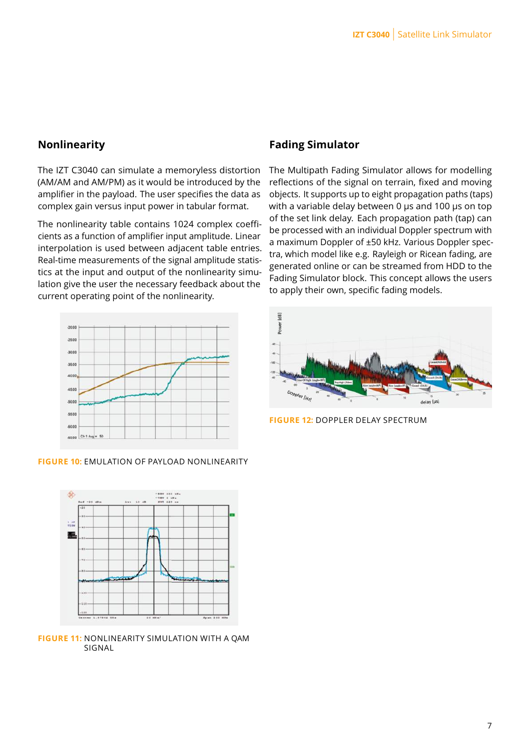#### **Nonlinearity**

The IZT C3040 can simulate a memoryless distortion (AM/AM and AM/PM) as it would be introduced by the amplifier in the payload. The user specifies the data as complex gain versus input power in tabular format.

The nonlinearity table contains 1024 complex coefficients as a function of amplifier input amplitude. Linear interpolation is used between adjacent table entries. Real-time measurements of the signal amplitude statistics at the input and output of the nonlinearity simulation give the user the necessary feedback about the current operating point of the nonlinearity.



#### **FIGURE 10:** EMULATION OF PAYLOAD NONLINEARITY



**FIGURE 11:** NONLINEARITY SIMULATION WITH A QAM SIGNAL

#### **Fading Simulator**

The Multipath Fading Simulator allows for modelling reflections of the signal on terrain, fixed and moving objects. It supports up to eight propagation paths (taps) with a variable delay between 0 µs and 100 µs on top of the set link delay. Each propagation path (tap) can be processed with an individual Doppler spectrum with a maximum Doppler of ±50 kHz. Various Doppler spectra, which model like e.g. Rayleigh or Ricean fading, are generated online or can be streamed from HDD to the Fading Simulator block. This concept allows the users to apply their own, specific fading models.



**FIGURE 12:** DOPPLER DELAY SPECTRUM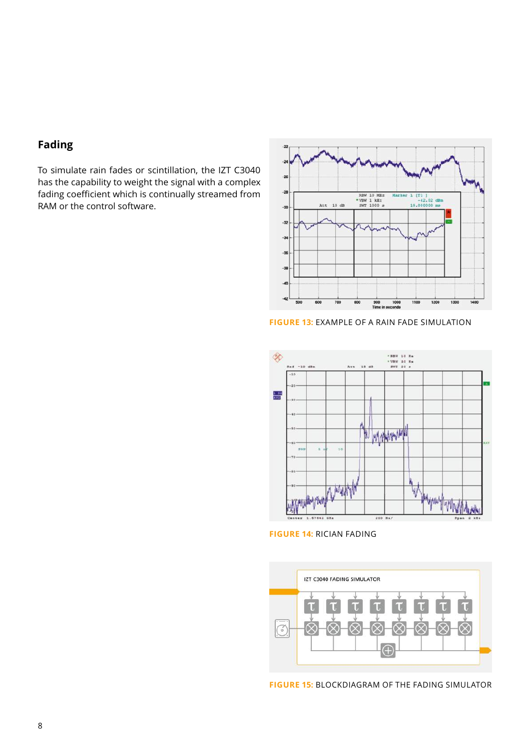#### **Fading**

To simulate rain fades or scintillation, the IZT C3040 has the capability to weight the signal with a complex fading coefficient which is continually streamed from RAM or the control software.



**FIGURE 13:** EXAMPLE OF A RAIN FADE SIMULATION



**FIGURE 14:** RICIAN FADING



**FIGURE 15:** BLOCKDIAGRAM OF THE FADING SIMULATOR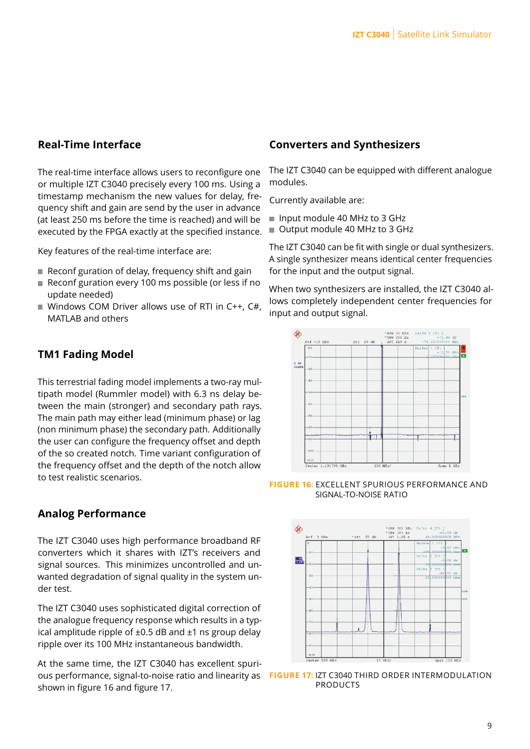#### **Real-Time Interface**

The real-time interface allows users to reconfigure one or multiple IZT C3040 precisely every 100 ms. Using a timestamp mechanism the new values for delay, frequency shift and gain are send by the user in advance (at least 250 ms before the time is reached) and will be executed by the FPGA exactly at the specified instance.

Key features of the real-time interface are:

- Reconf guration of delay, frequency shift and gain
- Reconf guration every 100 ms possible (or less if no update needed)
- Windows COM Driver allows use of RTI in C++,  $C#$ , MATLAB and others

#### **TM1 Fading Model**

This terrestrial fading model implements a two-ray multipath model (Rummler model) with 6.3 ns delay between the main (stronger) and secondary path rays. The main path may either lead (minimum phase) or lag (non minimum phase) the secondary path. Additionally the user can configure the frequency offset and depth of the so created notch. Time variant configuration of the frequency offset and the depth of the notch allow to test realistic scenarios.

#### **Analog Performance**

The IZT C3040 uses high performance broadband RF converters which it shares with IZT's receivers and signal sources. This minimizes uncontrolled and unwanted degradation of signal quality in the system under test.

The IZT C3040 uses sophisticated digital correction of the analogue frequency response which results in a typical amplitude ripple of  $\pm 0.5$  dB and  $\pm 1$  ns group delay ripple over its 100 MHz instantaneous bandwidth.

At the same time, the IZT C3040 has excellent spurious performance, signal-to-noise ratio and linearity as **FIGURE 17:** IZT C3040 THIRD ORDER INTERMODULATION shown in figure [16](#page-8-0) and figure [17.](#page-8-1)

#### **Converters and Synthesizers**

The IZT C3040 can be equipped with different analogue modules.

Currently available are:

- Input module 40 MHz to 3 GHz
- Output module 40 MHz to 3 GHz

The IZT C3040 can be fit with single or dual synthesizers. A single synthesizer means identical center frequencies for the input and the output signal.

When two synthesizers are installed, the IZT C3040 allows completely independent center frequencies for input and output signal.

<span id="page-8-0"></span>

**FIGURE 16:** EXCELLENT SPURIOUS PERFORMANCE AND SIGNAL-TO-NOISE RATIO

<span id="page-8-1"></span>

PRODUCTS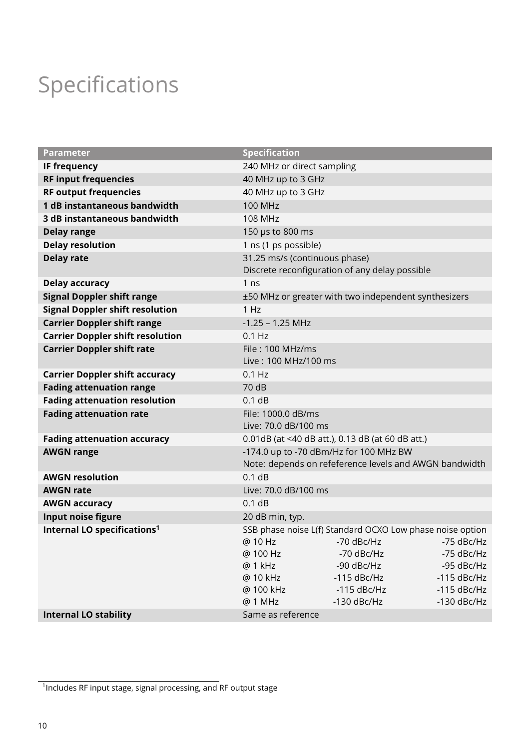# Specifications

| <b>Parameter</b>                        | <b>Specification</b>                                                    |  |
|-----------------------------------------|-------------------------------------------------------------------------|--|
| <b>IF frequency</b>                     | 240 MHz or direct sampling                                              |  |
| <b>RF input frequencies</b>             | 40 MHz up to 3 GHz                                                      |  |
| <b>RF output frequencies</b>            | 40 MHz up to 3 GHz                                                      |  |
| 1 dB instantaneous bandwidth            | <b>100 MHz</b>                                                          |  |
| 3 dB instantaneous bandwidth            | 108 MHz                                                                 |  |
| <b>Delay range</b>                      | 150 µs to 800 ms                                                        |  |
| <b>Delay resolution</b>                 | 1 ns (1 ps possible)                                                    |  |
| <b>Delay rate</b>                       | 31.25 ms/s (continuous phase)                                           |  |
|                                         | Discrete reconfiguration of any delay possible                          |  |
| <b>Delay accuracy</b>                   | 1 <sub>ns</sub>                                                         |  |
| <b>Signal Doppler shift range</b>       | ±50 MHz or greater with two independent synthesizers                    |  |
| <b>Signal Doppler shift resolution</b>  | 1 Hz                                                                    |  |
| <b>Carrier Doppler shift range</b>      | $-1.25 - 1.25$ MHz                                                      |  |
| <b>Carrier Doppler shift resolution</b> | $0.1$ Hz                                                                |  |
| <b>Carrier Doppler shift rate</b>       | File: 100 MHz/ms                                                        |  |
|                                         | Live: 100 MHz/100 ms                                                    |  |
| <b>Carrier Doppler shift accuracy</b>   | $0.1$ Hz                                                                |  |
| <b>Fading attenuation range</b>         | 70 dB                                                                   |  |
| <b>Fading attenuation resolution</b>    | 0.1 dB                                                                  |  |
| <b>Fading attenuation rate</b>          | File: 1000.0 dB/ms                                                      |  |
|                                         | Live: 70.0 dB/100 ms                                                    |  |
| <b>Fading attenuation accuracy</b>      | 0.01dB (at <40 dB att.), 0.13 dB (at 60 dB att.)                        |  |
| <b>AWGN range</b>                       | -174.0 up to -70 dBm/Hz for 100 MHz BW                                  |  |
|                                         | Note: depends on refeference levels and AWGN bandwidth                  |  |
| <b>AWGN resolution</b>                  | 0.1 dB                                                                  |  |
| <b>AWGN rate</b>                        | Live: 70.0 dB/100 ms                                                    |  |
| <b>AWGN accuracy</b>                    | 0.1 dB                                                                  |  |
| Input noise figure                      | 20 dB min, typ.                                                         |  |
| Internal LO specifications <sup>1</sup> | SSB phase noise L(f) Standard OCXO Low phase noise option               |  |
|                                         | @ 10 Hz<br>-70 dBc/Hz<br>-75 dBc/Hz                                     |  |
|                                         | @ 100 Hz<br>-70 dBc/Hz<br>-75 dBc/Hz                                    |  |
|                                         | @ 1 kHz<br>-90 dBc/Hz<br>-95 dBc/Hz                                     |  |
|                                         | @ 10 kHz<br>$-115$ dBc/Hz<br>$-115$ dBc/Hz<br>$-115$ dBc/Hz             |  |
|                                         | @ 100 kHz<br>$-115$ dBc/Hz<br>@ 1 MHz<br>$-130$ dBc/Hz<br>$-130$ dBc/Hz |  |
| <b>Internal LO stability</b>            | Same as reference                                                       |  |
|                                         |                                                                         |  |

<span id="page-9-0"></span><sup>&</sup>lt;sup>1</sup> Includes RF input stage, signal processing, and RF output stage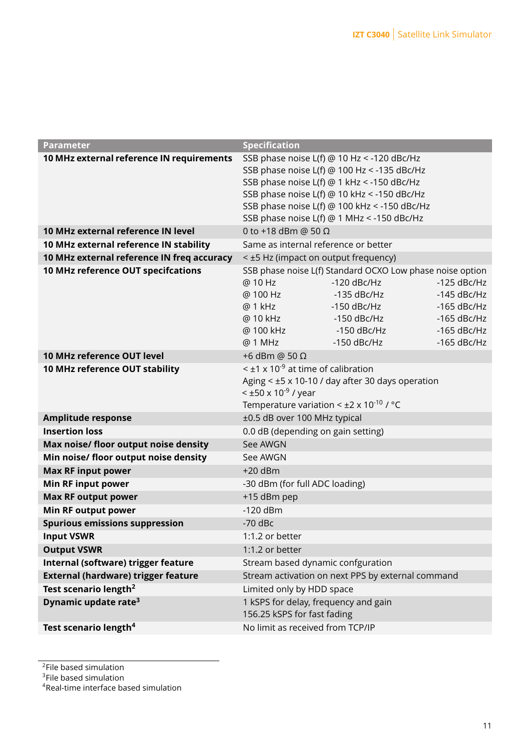| Parameter                                  | <b>Specification</b>                                 |                                                           |                                |
|--------------------------------------------|------------------------------------------------------|-----------------------------------------------------------|--------------------------------|
| 10 MHz external reference IN requirements  |                                                      | SSB phase noise L(f) @ 10 Hz < -120 dBc/Hz                |                                |
|                                            |                                                      | SSB phase noise L(f) @ 100 Hz < -135 dBc/Hz               |                                |
|                                            |                                                      | SSB phase noise L(f) @ 1 kHz < -150 dBc/Hz                |                                |
|                                            |                                                      | SSB phase noise L(f) @ 10 kHz < -150 dBc/Hz               |                                |
|                                            |                                                      | SSB phase noise L(f) @ 100 kHz < -150 dBc/Hz              |                                |
|                                            |                                                      | SSB phase noise L(f) @ 1 MHz < -150 dBc/Hz                |                                |
| 10 MHz external reference IN level         | 0 to +18 dBm @ 50 $\Omega$                           |                                                           |                                |
| 10 MHz external reference IN stability     | Same as internal reference or better                 |                                                           |                                |
| 10 MHz external reference IN freq accuracy | < ±5 Hz (impact on output frequency)                 |                                                           |                                |
| 10 MHz reference OUT specifcations         |                                                      | SSB phase noise L(f) Standard OCXO Low phase noise option |                                |
|                                            | @ 10 Hz                                              | $-120$ dBc/Hz                                             | $-125$ dBc/Hz                  |
|                                            | @ 100 Hz                                             | $-135$ dBc/Hz                                             | $-145$ dBc/Hz                  |
|                                            | @ 1 kHz                                              | $-150$ dBc/Hz                                             | $-165$ dBc/Hz                  |
|                                            | @ 10 kHz                                             | $-150$ dBc/Hz                                             | $-165$ dBc/Hz                  |
|                                            | @ 100 kHz<br>@ 1 MHz                                 | -150 dBc/Hz<br>$-150$ dBc/Hz                              | $-165$ dBc/Hz<br>$-165$ dBc/Hz |
| 10 MHz reference OUT level                 | +6 dBm @ 50 Ω                                        |                                                           |                                |
| 10 MHz reference OUT stability             | $\leq$ ±1 x 10 <sup>-9</sup> at time of calibration  |                                                           |                                |
|                                            |                                                      | Aging < ±5 x 10-10 / day after 30 days operation          |                                |
|                                            | $<$ ±50 x 10 <sup>-9</sup> / year                    |                                                           |                                |
|                                            | Temperature variation < $\pm 2 \times 10^{-10}$ / °C |                                                           |                                |
| <b>Amplitude response</b>                  | ±0.5 dB over 100 MHz typical                         |                                                           |                                |
| <b>Insertion loss</b>                      | 0.0 dB (depending on gain setting)                   |                                                           |                                |
| Max noise/ floor output noise density      | See AWGN                                             |                                                           |                                |
| Min noise/ floor output noise density      | See AWGN                                             |                                                           |                                |
| <b>Max RF input power</b>                  | $+20$ dBm                                            |                                                           |                                |
| <b>Min RF input power</b>                  | -30 dBm (for full ADC loading)                       |                                                           |                                |
| <b>Max RF output power</b>                 | +15 dBm pep                                          |                                                           |                                |
| <b>Min RF output power</b>                 | $-120$ dBm                                           |                                                           |                                |
| <b>Spurious emissions suppression</b>      | $-70$ dBc                                            |                                                           |                                |
| <b>Input VSWR</b>                          | 1:1.2 or better                                      |                                                           |                                |
| <b>Output VSWR</b>                         | 1:1.2 or better                                      |                                                           |                                |
| Internal (software) trigger feature        | Stream based dynamic confguration                    |                                                           |                                |
| <b>External (hardware) trigger feature</b> |                                                      | Stream activation on next PPS by external command         |                                |
| Test scenario length <sup>2</sup>          | Limited only by HDD space                            |                                                           |                                |
| Dynamic update rate <sup>3</sup>           | 1 kSPS for delay, frequency and gain                 |                                                           |                                |
|                                            | 156.25 kSPS for fast fading                          |                                                           |                                |
| Test scenario length <sup>4</sup>          | No limit as received from TCP/IP                     |                                                           |                                |
|                                            |                                                      |                                                           |                                |

<span id="page-10-0"></span><sup>2</sup> File based simulation

<span id="page-10-1"></span><sup>3</sup> File based simulation

<span id="page-10-2"></span>AReal-time interface based simulation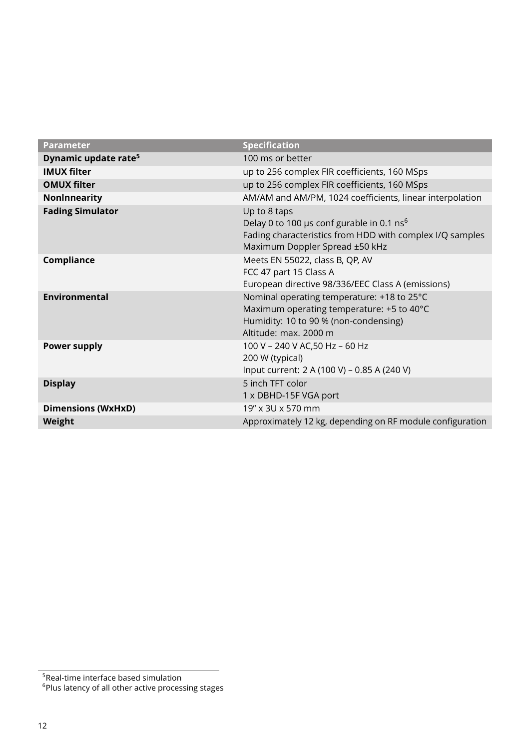| <b>Parameter</b>                 | <b>Specification</b>                                                                                                                                                |
|----------------------------------|---------------------------------------------------------------------------------------------------------------------------------------------------------------------|
| Dynamic update rate <sup>5</sup> | 100 ms or better                                                                                                                                                    |
| <b>IMUX filter</b>               | up to 256 complex FIR coefficients, 160 MSps                                                                                                                        |
| <b>OMUX filter</b>               | up to 256 complex FIR coefficients, 160 MSps                                                                                                                        |
| <b>NonInnearity</b>              | AM/AM and AM/PM, 1024 coefficients, linear interpolation                                                                                                            |
| <b>Fading Simulator</b>          | Up to 8 taps<br>Delay 0 to 100 µs conf gurable in 0.1 ns <sup>6</sup><br>Fading characteristics from HDD with complex I/Q samples<br>Maximum Doppler Spread ±50 kHz |
| Compliance                       | Meets EN 55022, class B, QP, AV<br>FCC 47 part 15 Class A<br>European directive 98/336/EEC Class A (emissions)                                                      |
| <b>Environmental</b>             | Nominal operating temperature: +18 to 25°C<br>Maximum operating temperature: +5 to 40°C<br>Humidity: 10 to 90 % (non-condensing)<br>Altitude: max. 2000 m           |
| <b>Power supply</b>              | 100 V - 240 V AC,50 Hz - 60 Hz<br>200 W (typical)<br>Input current: 2 A (100 V) - 0.85 A (240 V)                                                                    |
| <b>Display</b>                   | 5 inch TFT color<br>1 x DBHD-15F VGA port                                                                                                                           |
| <b>Dimensions (WxHxD)</b>        | 19" x 3U x 570 mm                                                                                                                                                   |
| Weight                           | Approximately 12 kg, depending on RF module configuration                                                                                                           |

<span id="page-11-0"></span><sup>&</sup>lt;sup>5</sup>Real-time interface based simulation

<span id="page-11-1"></span> $^6$ Plus latency of all other active processing stages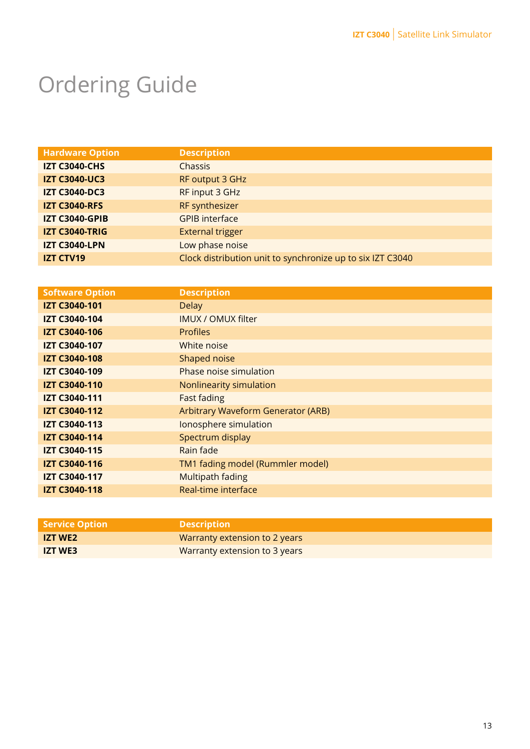# Ordering Guide

| <b>Hardware Option</b> | <b>Description</b>                                         |
|------------------------|------------------------------------------------------------|
| <b>IZT C3040-CHS</b>   | Chassis                                                    |
| <b>IZT C3040-UC3</b>   | RF output 3 GHz                                            |
| <b>IZT C3040-DC3</b>   | RF input 3 GHz                                             |
| <b>IZT C3040-RFS</b>   | RF synthesizer                                             |
| <b>IZT C3040-GPIB</b>  | <b>GPIB</b> interface                                      |
| <b>IZT C3040-TRIG</b>  | <b>External trigger</b>                                    |
| <b>IZT C3040-LPN</b>   | Low phase noise                                            |
| <b>IZT CTV19</b>       | Clock distribution unit to synchronize up to six IZT C3040 |

| <b>Software Option</b> | <b>Description</b>                 |
|------------------------|------------------------------------|
| <b>IZT C3040-101</b>   | <b>Delay</b>                       |
| IZT C3040-104          | <b>IMUX / OMUX filter</b>          |
| <b>IZT C3040-106</b>   | <b>Profiles</b>                    |
| <b>IZT C3040-107</b>   | White noise                        |
| <b>IZT C3040-108</b>   | Shaped noise                       |
| IZT C3040-109          | Phase noise simulation             |
| <b>IZT C3040-110</b>   | Nonlinearity simulation            |
| <b>IZT C3040-111</b>   | <b>Fast fading</b>                 |
| <b>IZT C3040-112</b>   | Arbitrary Waveform Generator (ARB) |
| <b>IZT C3040-113</b>   | Ionosphere simulation              |
| <b>IZT C3040-114</b>   | Spectrum display                   |
| IZT C3040-115          | Rain fade                          |
| <b>IZT C3040-116</b>   | TM1 fading model (Rummler model)   |
| IZT C3040-117          | Multipath fading                   |
| <b>IZT C3040-118</b>   | Real-time interface                |
|                        |                                    |

| <b>Service Option</b> | <b>Description</b>            |
|-----------------------|-------------------------------|
| <b>IZT WE2</b>        | Warranty extension to 2 years |
| <b>IZT WE3</b>        | Warranty extension to 3 years |